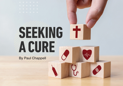## **SEEKING A CURE**

**By Paul Chappell**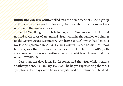**HOURS BEFORE THE WORLD** rolled into the new decade of 2020, a group of Chinese doctors worked tirelessly to understand the sickness they now found themselves treating.

Dr. Li Wenliang, an ophthalmologist at Wuhan Central Hospital, noticed seven cases of an unusual virus, which he thought looked similar to the Severe Acute Respiratory Syndrome (SARS) which had led to a worldwide epidemic in 2003. He was correct. What he did not know, however, was that this virus he had seen, while related to SARS (both are a coronavirus), was an entirely new virus, which would eventually be named COVID-19.

Less than ten days later, Dr. Li contracted the virus while treating another patient. By January 10, 2020, he began experiencing the virus' symptoms. Two days later, he was hospitalized. On February 7, he died.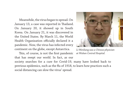Meanwhile, the virus began to spread. On January 13, a case was reported in Thailand. On January 20, it showed up in South Korea. On January 21, it was discovered in the United States. By March 11, the World Health Organization officially declared it a pandemic. Now, the virus has infected every continent on the globe, except Antarctica.

This, of course, is not the first pandemic that has swept our world. In fact, as our



*Li Wenliang was a Chinese physician at Wuhan Central Hospital.*

society searches for a cure for Covid-19, many have looked back to previous epidemics, such as the flu of 1918, to learn how practices such a social distancing can slow the virus' spread.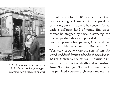

*A street car conductor in Seattle in 1918 refusing to allow passengers aboard who are not wearing masks*

But even before 1918, or any of the other world-altering epidemics of the previous centuries, our entire world has been infected with a different kind of virus. This virus cannot be stopped by social distancing, for it is a spiritual disease—passed down to us from our planet's first parents, Adam and Eve.

The Bible tells us in Romans 5:12, *"Wherefore, as by one man sin entered into the world, and death by sin; and so death passed upon all men, for that all have sinned."* The virus is sin, and it causes spiritual death and **separation from God**. And yet, God in His great mercy, has provided a cure—forgiveness and eternal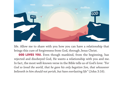

life. Allow me to share with you how you can have a relationship that brings this cure of forgiveness from God, through Jesus Christ.

GOD LOVES YOU. Even though mankind, from the beginning, has rejected and disobeyed God, He wants a relationship with you and me. In fact, the most well-known verse in the Bible tells us of God's love: *"For God so loved the world, that he gave his only begotten Son, that whosoever believeth in him should not perish, but have everlasting life"* (John 3:16).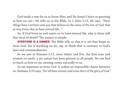God made a way for us to know Him, and He doesn't leave us guessing at how we can—He tells us in the Bible. In 1 John 5:13, He says, *"These things have I written unto you that believe on the name of the Son of God; that ye may know that ye have eternal life…"*

So, if God loves us and wants us to have eternal life, why is there still this virus of death? The answer is simple:

EVERYONE IS A SINNER. The Bible tells us that it is sin that keeps us from God. Sin is anything we do, say, or think that is contrary to God's laws and commandments.

As we saw in Romans 5:12, since Adam and Eve, the first man and woman on earth, a sin nature has been present in all people. No one had to teach us how to sin; sinning comes naturally to us.

So sin separates us from God. It makes an impossible chasm between us. Romans 3:23 says, *"For all have sinned, and come short of the glory of God.*"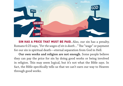

SIN HAS A PRICE THAT MUST BE PAID. Also, our sin has a penalty. Romans 6:23 says, "*For the wages of sin is death…"* The "wage" or payment for our sin is spiritual death—eternal separation from God in Hell.

**Our own works and religion are not enough.** Some people believe they can pay the price for sin by doing good works or being involved in religion. This may seem logical, but it's not what the Bible says. In fact, the Bible specifically tells us that we can't earn our way to Heaven through good works.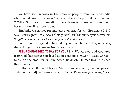We have seen reports in the news of people from Iran and India who have devised their own "medical" drinks to prevent or overcome COVID-19. Instead of providing a cure, however, those who took them became more ill, and some died.

Similarly, we cannot provide our own cure for sin. Ephesians 2:8–9 says, *"For by grace are ye saved through faith; and that not of yourselves: it is the gift of God: not of works, lest any man should boast."*

So, although it is good to be kind to your neighbor and do good works, these things cannot cure us from the curse of sin.

JESUS CHRIST DIED TO PAY FOR YOUR SIN. We were lost and separated from God, but because He loved us He sent His own Son—Jesus Christ to die on the cross for our sin. After His death, He rose from the dead three days later.

In Romans 5:8, the Bible says, *"But God commendeth* [meaning proved or demonstrated] *his love toward us, in that, while we were yet sinners, Christ*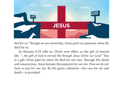

*died for us."* Though we are unworthy, Jesus paid our payment when He died for us.

As Romans 6:23 tells us, Christ now offers us the gift of eternal life: *"…the gift of God is eternal life through Jesus Christ our Lord."* This is a gift Christ paid for when He died for our sins. Through His death and resurrection, Jesus became the payment for our sin. Now we do not have to pay for our sin. By His grace, salvation—the cure for sin and death—is provided.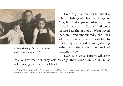

*Elinor Elisberg, left, sits with her father and her sister in 1918.*

I recently read an article<sup>1</sup> about a Elinor Elisberg who lived to the age of 102, but had experienced what came to be known as the Spanish Influenza in 1918 at the age of 3. What saved her life—and undoubtedly the lives of others—was the white scarf tied to the family's outside doorknob, alerting others that there was a quarantined patient inside.

Even as a virus patient will only receive treatment if they acknowledge their condition, so we must acknowledge our need for Christ.

1. Karan N. Goldman *'The White Scarf on the Door: A Life-Saving Lesson from the 1918 Spanish Flu' Statnews.com* March 23, 2020. Photo from Karan N. Goldman.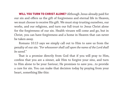WILL YOU TURN TO CHRIST ALONE? Although Jesus already paid for our sin and offers us the gift of forgiveness and eternal life in Heaven, we must choose to receive His gift. We must stop trusting ourselves, our works, and our religions, and turn our full trust to Jesus Christ alone for the forgiveness of our sin. Health viruses will come and go, but in Christ, you can have forgiveness and a home in Heaven that can never be taken away.

Romans 10:13 says we simply call out to Him to save us from the penalty of our sin: *"For whosoever shall call upon the name of the Lord shall be saved."*

That is a promise directly from God that if you will pray to Him, confess that you are a sinner, ask Him to forgive your sins, and turn to Him alone to be your Saviour; He promises to save you…to provide a cure for sin. You can make that decision today by praying from your heart, something like this: